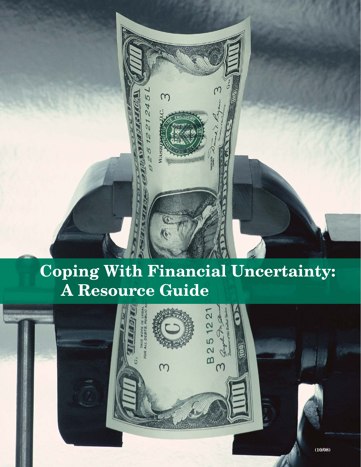

# **Coping With Financial Uncertainty: A Resource Guide**

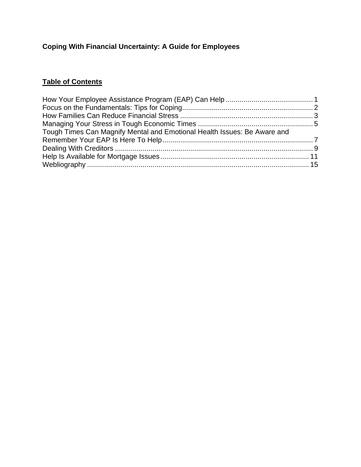# **Coping With Financial Uncertainty: A Guide for Employees**

## **Table of Contents**

| Tough Times Can Magnify Mental and Emotional Health Issues: Be Aware and |  |
|--------------------------------------------------------------------------|--|
|                                                                          |  |
|                                                                          |  |
|                                                                          |  |
|                                                                          |  |
|                                                                          |  |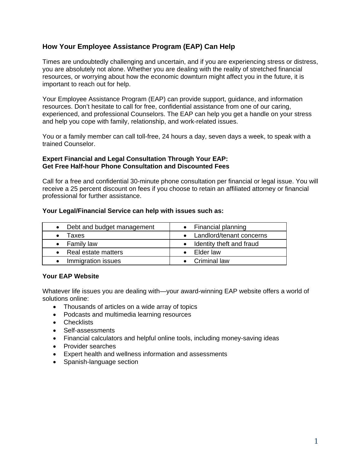## **How Your Employee Assistance Program (EAP) Can Help**

Times are undoubtedly challenging and uncertain, and if you are experiencing stress or distress, you are absolutely not alone. Whether you are dealing with the reality of stretched financial resources, or worrying about how the economic downturn might affect you in the future, it is important to reach out for help.

Your Employee Assistance Program (EAP) can provide support, guidance, and information resources. Don't hesitate to call for free, confidential assistance from one of our caring, experienced, and professional Counselors. The EAP can help you get a handle on your stress and help you cope with family, relationship, and work-related issues.

You or a family member can call toll-free, 24 hours a day, seven days a week, to speak with a trained Counselor.

#### **Expert Financial and Legal Consultation Through Your EAP: Get Free Half-hour Phone Consultation and Discounted Fees**

Call for a free and confidential 30-minute phone consultation per financial or legal issue. You will receive a 25 percent discount on fees if you choose to retain an affiliated attorney or financial professional for further assistance.

#### **Your Legal/Financial Service can help with issues such as:**

| • Debt and budget management | • Financial planning       |
|------------------------------|----------------------------|
| Taxes                        | • Landlord/tenant concerns |
| $\bullet$ Family law         | • Identity theft and fraud |
| • Real estate matters        | $\bullet$ Elder law        |
| Immigration issues           | • Criminal law             |

#### **Your EAP Website**

Whatever life issues you are dealing with—your award-winning EAP website offers a world of solutions online:

- Thousands of articles on a wide array of topics
- Podcasts and multimedia learning resources
- Checklists
- Self-assessments
- Financial calculators and helpful online tools, including money-saving ideas
- Provider searches
- Expert health and wellness information and assessments
- Spanish-language section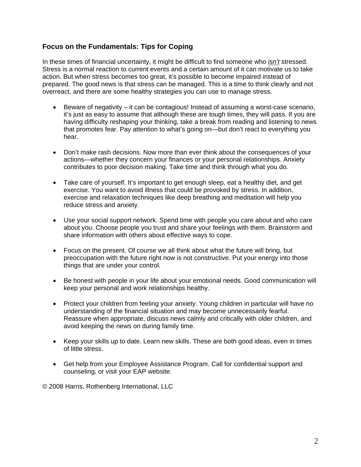## **Focus on the Fundamentals: Tips for Coping**

In these times of financial uncertainty, it might be difficult to find someone who *isn't* stressed. Stress is a normal reaction to current events and a certain amount of it can motivate us to take action. But when stress becomes too great, it's possible to become impaired instead of prepared. The good news is that stress can be managed. This is a time to think clearly and not overreact, and there are some healthy strategies you can use to manage stress.

- Beware of negativity it can be contagious! Instead of assuming a worst-case scenario, it's just as easy to assume that although these are tough times, they will pass. If you are having difficulty reshaping your thinking, take a break from reading and listening to news that promotes fear. Pay attention to what's going on—but don't react to everything you hear.
- Don't make rash decisions. Now more than ever think about the consequences of your actions—whether they concern your finances or your personal relationships. Anxiety contributes to poor decision making. Take time and think through what you do.
- Take care of yourself. It's important to get enough sleep, eat a healthy diet, and get exercise. You want to avoid illness that could be provoked by stress. In addition, exercise and relaxation techniques like deep breathing and meditation will help you reduce stress and anxiety.
- Use your social support network. Spend time with people you care about and who care about you. Choose people you trust and share your feelings with them. Brainstorm and share information with others about effective ways to cope.
- Focus on the present. Of course we all think about what the future will bring, but preoccupation with the future right now is not constructive. Put your energy into those things that are under your control.
- Be honest with people in your life about your emotional needs. Good communication will keep your personal and work relationships healthy.
- Protect your children from feeling your anxiety. Young children in particular will have no understanding of the financial situation and may become unnecessarily fearful. Reassure when appropriate, discuss news calmly and critically with older children, and avoid keeping the news on during family time.
- Keep your skills up to date. Learn new skills. These are both good ideas, even in times of little stress.
- Get help from your Employee Assistance Program. Call for confidential support and counseling, or visit your EAP website.

© 2008 Harris, Rothenberg International, LLC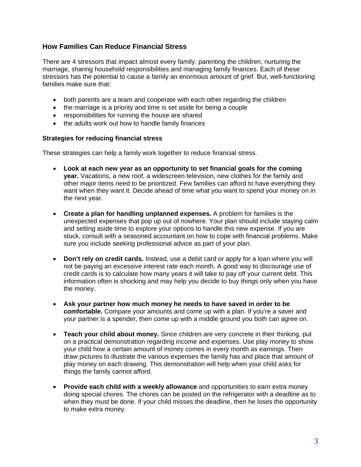## **How Families Can Reduce Financial Stress**

There are 4 stressors that impact almost every family: parenting the children, nurturing the marriage, sharing household responsibilities and managing family finances. Each of these stressors has the potential to cause a family an enormous amount of grief. But, well-functioning families make sure that:

- both parents are a team and cooperate with each other regarding the children
- the marriage is a priority and time is set aside for being a couple
- responsibilities for running the house are shared
- the adults work out how to handle family finances

#### **Strategies for reducing financial stress**

These strategies can help a family work together to reduce financial stress.

- **Look at each new year as an opportunity to set financial goals for the coming year.** Vacations, a new roof, a widescreen television, new clothes for the family and other major items need to be prioritized. Few families can afford to have everything they want when they want it. Decide ahead of time what you want to spend your money on in the next year.
- **Create a plan for handling unplanned expenses.** A problem for families is the unexpected expenses that pop up out of nowhere. Your plan should include staying calm and setting aside time to explore your options to handle this new expense. If you are stuck, consult with a seasoned accountant on how to cope with financial problems. Make sure you include seeking professional advice as part of your plan.
- **Don't rely on credit cards.** Instead, use a debit card or apply for a loan where you will not be paying an excessive interest rate each month. A good way to discourage use of credit cards is to calculate how many years it will take to pay off your current debt. This information often is shocking and may help you decide to buy things only when you have the money.
- **Ask your partner how much money he needs to have saved in order to be comfortable.** Compare your amounts and come up with a plan. If you're a saver and your partner is a spender, then come up with a middle ground you both can agree on.
- **Teach your child about money.** Since children are very concrete in their thinking, put on a practical demonstration regarding income and expenses. Use play money to show your child how a certain amount of money comes in every month as earnings. Then draw pictures to illustrate the various expenses the family has and place that amount of play money on each drawing. This demonstration will help when your child asks for things the family cannot afford.
- **Provide each child with a weekly allowance** and opportunities to earn extra money doing special chores. The chores can be posted on the refrigerator with a deadline as to when they must be done. If your child misses the deadline, then he loses the opportunity to make extra money.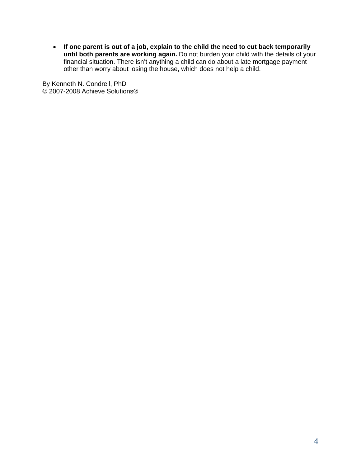• **If one parent is out of a job, explain to the child the need to cut back temporarily until both parents are working again.** Do not burden your child with the details of your financial situation. There isn't anything a child can do about a late mortgage payment other than worry about losing the house, which does not help a child.

By Kenneth N. Condrell, PhD © 2007-2008 Achieve Solutions®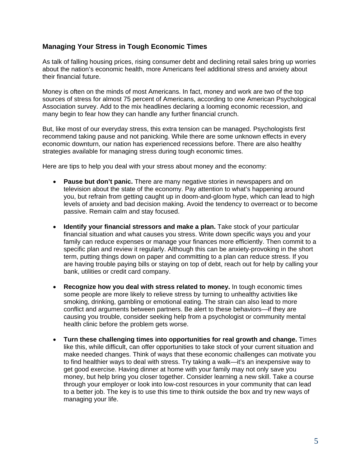## **Managing Your Stress in Tough Economic Times**

As talk of falling housing prices, rising consumer debt and declining retail sales bring up worries about the nation's economic health, more Americans feel additional stress and anxiety about their financial future.

Money is often on the minds of most Americans. In fact, money and work are two of the top sources of stress for almost 75 percent of Americans, according to one American Psychological Association survey. Add to the mix headlines declaring a looming economic recession, and many begin to fear how they can handle any further financial crunch.

But, like most of our everyday stress, this extra tension can be managed. Psychologists first recommend taking pause and not panicking. While there are some unknown effects in every economic downturn, our nation has experienced recessions before. There are also healthy strategies available for managing stress during tough economic times.

Here are tips to help you deal with your stress about money and the economy:

- **Pause but don't panic.** There are many negative stories in newspapers and on television about the state of the economy. Pay attention to what's happening around you, but refrain from getting caught up in doom-and-gloom hype, which can lead to high levels of anxiety and bad decision making. Avoid the tendency to overreact or to become passive. Remain calm and stay focused.
- **Identify your financial stressors and make a plan.** Take stock of your particular financial situation and what causes you stress. Write down specific ways you and your family can reduce expenses or manage your finances more efficiently. Then commit to a specific plan and review it regularly. Although this can be anxiety-provoking in the short term, putting things down on paper and committing to a plan can reduce stress. If you are having trouble paying bills or staying on top of debt, reach out for help by calling your bank, utilities or credit card company.
- **Recognize how you deal with stress related to money.** In tough economic times some people are more likely to relieve stress by turning to unhealthy activities like smoking, drinking, gambling or emotional eating. The strain can also lead to more conflict and arguments between partners. Be alert to these behaviors—if they are causing you trouble, consider seeking help from a psychologist or community mental health clinic before the problem gets worse.
- **Turn these challenging times into opportunities for real growth and change.** Times like this, while difficult, can offer opportunities to take stock of your current situation and make needed changes. Think of ways that these economic challenges can motivate you to find healthier ways to deal with stress. Try taking a walk—it's an inexpensive way to get good exercise. Having dinner at home with your family may not only save you money, but help bring you closer together. Consider learning a new skill. Take a course through your employer or look into low-cost resources in your community that can lead to a better job. The key is to use this time to think outside the box and try new ways of managing your life.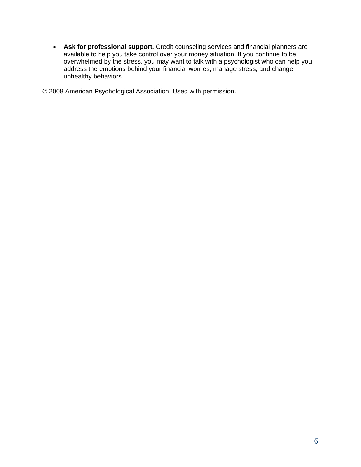• **Ask for professional support.** Credit counseling services and financial planners are available to help you take control over your money situation. If you continue to be overwhelmed by the stress, you may want to talk with a psychologist who can help you address the emotions behind your financial worries, manage stress, and change unhealthy behaviors.

© 2008 American Psychological Association. Used with permission.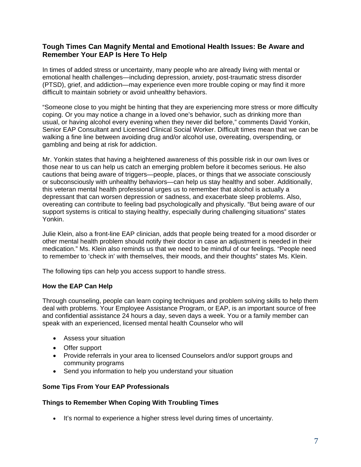## **Tough Times Can Magnify Mental and Emotional Health Issues: Be Aware and Remember Your EAP Is Here To Help**

In times of added stress or uncertainty, many people who are already living with mental or emotional health challenges—including depression, anxiety, post-traumatic stress disorder (PTSD), grief, and addiction—may experience even more trouble coping or may find it more difficult to maintain sobriety or avoid unhealthy behaviors.

"Someone close to you might be hinting that they are experiencing more stress or more difficulty coping. Or you may notice a change in a loved one's behavior, such as drinking more than usual, or having alcohol every evening when they never did before," comments David Yonkin, Senior EAP Consultant and Licensed Clinical Social Worker. Difficult times mean that we can be walking a fine line between avoiding drug and/or alcohol use, overeating, overspending, or gambling and being at risk for addiction.

Mr. Yonkin states that having a heightened awareness of this possible risk in our own lives or those near to us can help us catch an emerging problem before it becomes serious. He also cautions that being aware of triggers—people, places, or things that we associate consciously or subconsciously with unhealthy behaviors—can help us stay healthy and sober. Additionally, this veteran mental health professional urges us to remember that alcohol is actually a depressant that can worsen depression or sadness, and exacerbate sleep problems. Also, overeating can contribute to feeling bad psychologically and physically. "But being aware of our support systems is critical to staying healthy, especially during challenging situations" states Yonkin.

Julie Klein, also a front-line EAP clinician, adds that people being treated for a mood disorder or other mental health problem should notify their doctor in case an adjustment is needed in their medication." Ms. Klein also reminds us that we need to be mindful of our feelings. "People need to remember to 'check in' with themselves, their moods, and their thoughts" states Ms. Klein.

The following tips can help you access support to handle stress.

#### **How the EAP Can Help**

Through counseling, people can learn coping techniques and problem solving skills to help them deal with problems. Your Employee Assistance Program, or EAP, is an important source of free and confidential assistance 24 hours a day, seven days a week. You or a family member can speak with an experienced, licensed mental health Counselor who will

- Assess your situation
- Offer support
- Provide referrals in your area to licensed Counselors and/or support groups and community programs
- Send you information to help you understand your situation

## **Some Tips From Your EAP Professionals**

#### **Things to Remember When Coping With Troubling Times**

• It's normal to experience a higher stress level during times of uncertainty.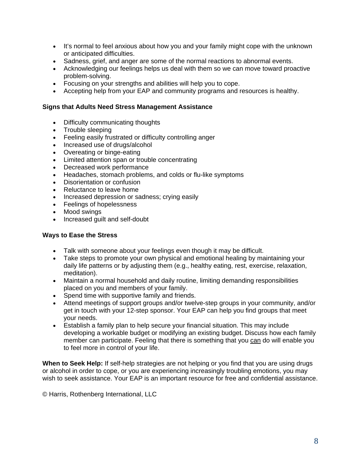- It's normal to feel anxious about how you and your family might cope with the unknown or anticipated difficulties.
- Sadness, grief, and anger are some of the normal reactions to abnormal events.
- Acknowledging our feelings helps us deal with them so we can move toward proactive problem-solving.
- Focusing on your strengths and abilities will help you to cope.
- Accepting help from your EAP and community programs and resources is healthy.

#### **Signs that Adults Need Stress Management Assistance**

- Difficulty communicating thoughts
- Trouble sleeping
- Feeling easily frustrated or difficulty controlling anger
- Increased use of drugs/alcohol
- Overeating or binge-eating
- Limited attention span or trouble concentrating
- Decreased work performance
- Headaches, stomach problems, and colds or flu-like symptoms
- Disorientation or confusion
- Reluctance to leave home
- Increased depression or sadness; crying easily
- Feelings of hopelessness
- Mood swings
- Increased guilt and self-doubt

#### **Ways to Ease the Stress**

- Talk with someone about your feelings even though it may be difficult.
- Take steps to promote your own physical and emotional healing by maintaining your daily life patterns or by adjusting them (e.g., healthy eating, rest, exercise, relaxation, meditation).
- Maintain a normal household and daily routine, limiting demanding responsibilities placed on you and members of your family.
- Spend time with supportive family and friends.
- Attend meetings of support groups and/or twelve-step groups in your community, and/or get in touch with your 12-step sponsor. Your EAP can help you find groups that meet your needs.
- Establish a family plan to help secure your financial situation. This may include developing a workable budget or modifying an existing budget. Discuss how each family member can participate. Feeling that there is something that you can do will enable you to feel more in control of your life.

**When to Seek Help:** If self-help strategies are not helping or you find that you are using drugs or alcohol in order to cope, or you are experiencing increasingly troubling emotions, you may wish to seek assistance. Your EAP is an important resource for free and confidential assistance.

© Harris, Rothenberg International, LLC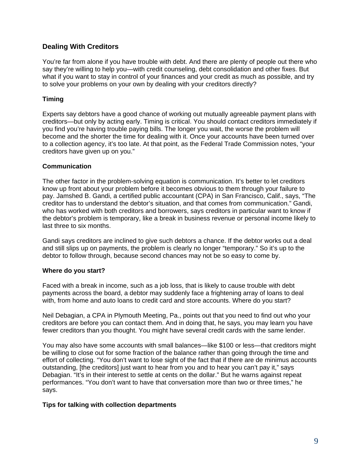## **Dealing With Creditors**

You're far from alone if you have trouble with debt. And there are plenty of people out there who say they're willing to help you—with credit counseling, debt consolidation and other fixes. But what if you want to stay in control of your finances and your credit as much as possible, and try to solve your problems on your own by dealing with your creditors directly?

## **Timing**

Experts say debtors have a good chance of working out mutually agreeable payment plans with creditors—but only by acting early. Timing is critical. You should contact creditors immediately if you find you're having trouble paying bills. The longer you wait, the worse the problem will become and the shorter the time for dealing with it. Once your accounts have been turned over to a collection agency, it's too late. At that point, as the Federal Trade Commission notes, "your creditors have given up on you."

#### **Communication**

The other factor in the problem-solving equation is communication. It's better to let creditors know up front about your problem before it becomes obvious to them through your failure to pay. Jamshed B. Gandi, a certified public accountant (CPA) in San Francisco, Calif., says, "The creditor has to understand the debtor's situation, and that comes from communication." Gandi, who has worked with both creditors and borrowers, says creditors in particular want to know if the debtor's problem is temporary, like a break in business revenue or personal income likely to last three to six months.

Gandi says creditors are inclined to give such debtors a chance. If the debtor works out a deal and still slips up on payments, the problem is clearly no longer "temporary." So it's up to the debtor to follow through, because second chances may not be so easy to come by.

#### **Where do you start?**

Faced with a break in income, such as a job loss, that is likely to cause trouble with debt payments across the board, a debtor may suddenly face a frightening array of loans to deal with, from home and auto loans to credit card and store accounts. Where do you start?

Neil Debagian, a CPA in Plymouth Meeting, Pa., points out that you need to find out who your creditors are before you can contact them. And in doing that, he says, you may learn you have fewer creditors than you thought. You might have several credit cards with the same lender.

You may also have some accounts with small balances—like \$100 or less—that creditors might be willing to close out for some fraction of the balance rather than going through the time and effort of collecting. "You don't want to lose sight of the fact that if there are de minimus accounts outstanding, [the creditors] just want to hear from you and to hear you can't pay it," says Debagian. "It's in their interest to settle at cents on the dollar." But he warns against repeat performances. "You don't want to have that conversation more than two or three times," he says.

#### **Tips for talking with collection departments**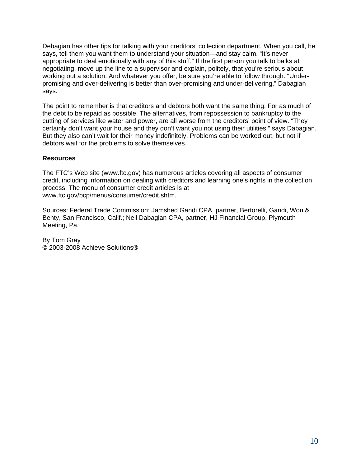Debagian has other tips for talking with your creditors' collection department. When you call, he says, tell them you want them to understand your situation—and stay calm. "It's never appropriate to deal emotionally with any of this stuff." If the first person you talk to balks at negotiating, move up the line to a supervisor and explain, politely, that you're serious about working out a solution. And whatever you offer, be sure you're able to follow through. "Underpromising and over-delivering is better than over-promising and under-delivering," Dabagian says.

The point to remember is that creditors and debtors both want the same thing: For as much of the debt to be repaid as possible. The alternatives, from repossession to bankruptcy to the cutting of services like water and power, are all worse from the creditors' point of view. "They certainly don't want your house and they don't want you not using their utilities," says Dabagian. But they also can't wait for their money indefinitely. Problems can be worked out, but not if debtors wait for the problems to solve themselves.

#### **Resources**

The FTC's Web site (www.ftc.gov) has numerous articles covering all aspects of consumer credit, including information on dealing with creditors and learning one's rights in the collection process. The menu of consumer credit articles is at www.ftc.gov/bcp/menus/consumer/credit.shtm.

Sources: Federal Trade Commission; Jamshed Gandi CPA, partner, Bertorelli, Gandi, Won & Behty, San Francisco, Calif.; Neil Dabagian CPA, partner, HJ Financial Group, Plymouth Meeting, Pa.

By Tom Gray © 2003-2008 Achieve Solutions®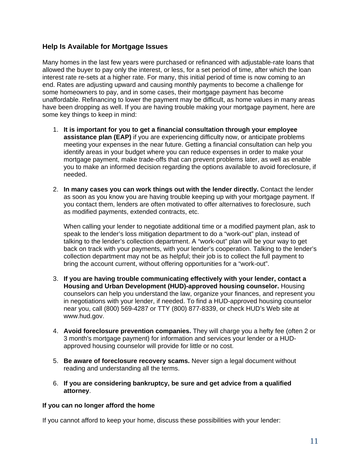## **Help Is Available for Mortgage Issues**

Many homes in the last few years were purchased or refinanced with adjustable-rate loans that allowed the buyer to pay only the interest, or less, for a set period of time, after which the loan interest rate re-sets at a higher rate. For many, this initial period of time is now coming to an end. Rates are adjusting upward and causing monthly payments to become a challenge for some homeowners to pay, and in some cases, their mortgage payment has become unaffordable. Refinancing to lower the payment may be difficult, as home values in many areas have been dropping as well. If you are having trouble making your mortgage payment, here are some key things to keep in mind:

- 1. **It is important for you to get a financial consultation through your employee assistance plan (EAP)** if you are experiencing difficulty now, or anticipate problems meeting your expenses in the near future. Getting a financial consultation can help you identify areas in your budget where you can reduce expenses in order to make your mortgage payment, make trade-offs that can prevent problems later, as well as enable you to make an informed decision regarding the options available to avoid foreclosure, if needed.
- 2. **In many cases you can work things out with the lender directly.** Contact the lender as soon as you know you are having trouble keeping up with your mortgage payment. If you contact them, lenders are often motivated to offer alternatives to foreclosure, such as modified payments, extended contracts, etc.

When calling your lender to negotiate additional time or a modified payment plan, ask to speak to the lender's loss mitigation department to do a "work-out" plan, instead of talking to the lender's collection department. A "work-out" plan will be your way to get back on track with your payments, with your lender's cooperation. Talking to the lender's collection department may not be as helpful; their job is to collect the full payment to bring the account current, without offering opportunities for a "work-out".

- 3. **If you are having trouble communicating effectively with your lender, contact a Housing and Urban Development (HUD)-approved housing counselor.** Housing counselors can help you understand the law, organize your finances, and represent you in negotiations with your lender, if needed. To find a HUD-approved housing counselor near you, call (800) 569-4287 or TTY (800) 877-8339, or check HUD's Web site at www.hud.gov.
- 4. **Avoid foreclosure prevention companies.** They will charge you a hefty fee (often 2 or 3 month's mortgage payment) for information and services your lender or a HUDapproved housing counselor will provide for little or no cost.
- 5. **Be aware of foreclosure recovery scams.** Never sign a legal document without reading and understanding all the terms.
- 6. **If you are considering bankruptcy, be sure and get advice from a qualified attorney**.

#### **If you can no longer afford the home**

If you cannot afford to keep your home, discuss these possibilities with your lender: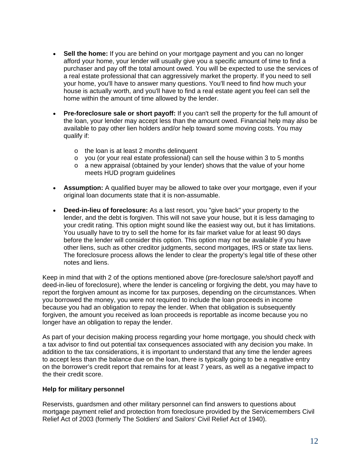- **Sell the home:** If you are behind on your mortgage payment and you can no longer afford your home, your lender will usually give you a specific amount of time to find a purchaser and pay off the total amount owed. You will be expected to use the services of a real estate professional that can aggressively market the property. If you need to sell your home, you'll have to answer many questions. You'll need to find how much your house is actually worth, and you'll have to find a real estate agent you feel can sell the home within the amount of time allowed by the lender.
- **Pre-foreclosure sale or short payoff:** If you can't sell the property for the full amount of the loan, your lender may accept less than the amount owed. Financial help may also be available to pay other lien holders and/or help toward some moving costs. You may qualify if:
	- o the loan is at least 2 months delinquent
	- o you (or your real estate professional) can sell the house within 3 to 5 months
	- o a new appraisal (obtained by your lender) shows that the value of your home meets HUD program guidelines
- **Assumption:** A qualified buyer may be allowed to take over your mortgage, even if your original loan documents state that it is non-assumable.
- **Deed-in-lieu of foreclosure:** As a last resort, you "give back" your property to the lender, and the debt is forgiven. This will not save your house, but it is less damaging to your credit rating. This option might sound like the easiest way out, but it has limitations. You usually have to try to sell the home for its fair market value for at least 90 days before the lender will consider this option. This option may not be available if you have other liens, such as other creditor judgments, second mortgages, IRS or state tax liens. The foreclosure process allows the lender to clear the property's legal title of these other notes and liens.

Keep in mind that with 2 of the options mentioned above (pre-foreclosure sale/short payoff and deed-in-lieu of foreclosure), where the lender is canceling or forgiving the debt, you may have to report the forgiven amount as income for tax purposes, depending on the circumstances. When you borrowed the money, you were not required to include the loan proceeds in income because you had an obligation to repay the lender. When that obligation is subsequently forgiven, the amount you received as loan proceeds is reportable as income because you no longer have an obligation to repay the lender.

As part of your decision making process regarding your home mortgage, you should check with a tax advisor to find out potential tax consequences associated with any decision you make. In addition to the tax considerations, it is important to understand that any time the lender agrees to accept less than the balance due on the loan, there is typically going to be a negative entry on the borrower's credit report that remains for at least 7 years, as well as a negative impact to the their credit score.

#### **Help for military personnel**

Reservists, guardsmen and other military personnel can find answers to questions about mortgage payment relief and protection from foreclosure provided by the Servicemembers Civil Relief Act of 2003 (formerly The Soldiers' and Sailors' Civil Relief Act of 1940).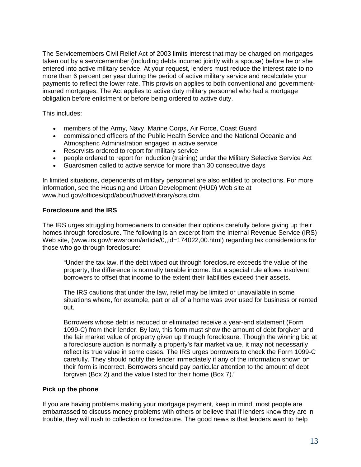The Servicemembers Civil Relief Act of 2003 limits interest that may be charged on mortgages taken out by a servicemember (including debts incurred jointly with a spouse) before he or she entered into active military service. At your request, lenders must reduce the interest rate to no more than 6 percent per year during the period of active military service and recalculate your payments to reflect the lower rate. This provision applies to both conventional and governmentinsured mortgages. The Act applies to active duty military personnel who had a mortgage obligation before enlistment or before being ordered to active duty.

This includes:

- members of the Army, Navy, Marine Corps, Air Force, Coast Guard
- commissioned officers of the Public Health Service and the National Oceanic and Atmospheric Administration engaged in active service
- Reservists ordered to report for military service
- people ordered to report for induction (training) under the Military Selective Service Act
- Guardsmen called to active service for more than 30 consecutive days

In limited situations, dependents of military personnel are also entitled to protections. For more information, see the Housing and Urban Development (HUD) Web site at www.hud.gov/offices/cpd/about/hudvet/library/scra.cfm.

#### **Foreclosure and the IRS**

The IRS urges struggling homeowners to consider their options carefully before giving up their homes through foreclosure. The following is an excerpt from the Internal Revenue Service (IRS) Web site, (www.irs.gov/newsroom/article/0,,id=174022,00.html) regarding tax considerations for those who go through foreclosure:

"Under the tax law, if the debt wiped out through foreclosure exceeds the value of the property, the difference is normally taxable income. But a special rule allows insolvent borrowers to offset that income to the extent their liabilities exceed their assets.

The IRS cautions that under the law, relief may be limited or unavailable in some situations where, for example, part or all of a home was ever used for business or rented out.

Borrowers whose debt is reduced or eliminated receive a year-end statement (Form 1099-C) from their lender. By law, this form must show the amount of debt forgiven and the fair market value of property given up through foreclosure. Though the winning bid at a foreclosure auction is normally a property's fair market value, it may not necessarily reflect its true value in some cases. The IRS urges borrowers to check the Form 1099-C carefully. They should notify the lender immediately if any of the information shown on their form is incorrect. Borrowers should pay particular attention to the amount of debt forgiven (Box 2) and the value listed for their home (Box 7)."

#### **Pick up the phone**

If you are having problems making your mortgage payment, keep in mind, most people are embarrassed to discuss money problems with others or believe that if lenders know they are in trouble, they will rush to collection or foreclosure. The good news is that lenders want to help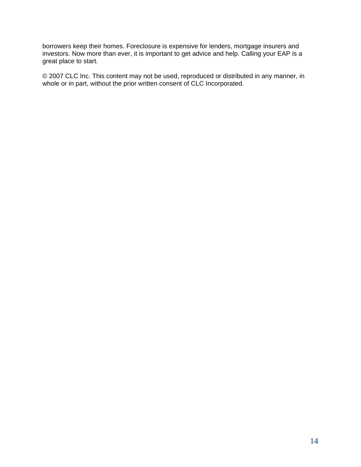borrowers keep their homes. Foreclosure is expensive for lenders, mortgage insurers and investors. Now more than ever, it is important to get advice and help. Calling your EAP is a great place to start.

© 2007 CLC Inc. This content may not be used, reproduced or distributed in any manner, in whole or in part, without the prior written consent of CLC Incorporated.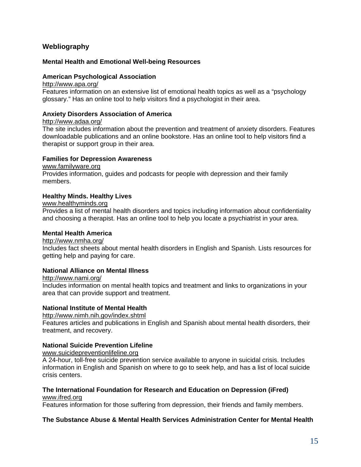## **Webliography**

#### **Mental Health and Emotional Well-being Resources**

#### **American Psychological Association**

#### http://www.apa.org/

Features information on an extensive list of emotional health topics as well as a "psychology glossary." Has an online tool to help visitors find a psychologist in their area.

#### **Anxiety Disorders Association of America**

#### http://www.adaa.org/

The site includes information about the prevention and treatment of anxiety disorders. Features downloadable publications and an online bookstore. Has an online tool to help visitors find a therapist or support group in their area.

#### **Families for Depression Awareness**

#### www.familyware.org

Provides information, guides and podcasts for people with depression and their family members.

#### **Healthy Minds. Healthy Lives**

#### www.healthyminds.org

Provides a list of mental health disorders and topics including information about confidentiality and choosing a therapist. Has an online tool to help you locate a psychiatrist in your area.

#### **Mental Health America**

#### http://www.nmha.org/

Includes fact sheets about mental health disorders in English and Spanish. Lists resources for getting help and paying for care.

#### **National Alliance on Mental Illness**

#### http://www.nami.org/

Includes information on mental health topics and treatment and links to organizations in your area that can provide support and treatment.

#### **National Institute of Mental Health**

http://www.nimh.nih.gov/index.shtml

Features articles and publications in English and Spanish about mental health disorders, their treatment, and recovery.

#### **National Suicide Prevention Lifeline**

www.suicidepreventionlifeline.org

A 24-hour, toll-free suicide prevention service available to anyone in suicidal crisis. Includes information in English and Spanish on where to go to seek help, and has a list of local suicide crisis centers.

#### **The International Foundation for Research and Education on Depression (iFred)**  www.ifred.org

Features information for those suffering from depression, their friends and family members.

#### **The Substance Abuse & Mental Health Services Administration Center for Mental Health**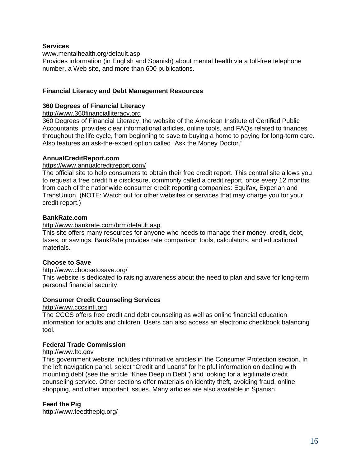#### **Services**

#### www.mentalhealth.org/default.asp

Provides information (in English and Spanish) about mental health via a toll-free telephone number, a Web site, and more than 600 publications.

#### **Financial Literacy and Debt Management Resources**

#### **360 Degrees of Financial Literacy**

http://www.360financialliteracy.org

360 Degrees of Financial Literacy, the website of the American Institute of Certified Public Accountants, provides clear informational articles, online tools, and FAQs related to finances throughout the life cycle, from beginning to save to buying a home to paying for long-term care. Also features an ask-the-expert option called "Ask the Money Doctor."

#### **AnnualCreditReport.com**

#### https://www.annualcreditreport.com/

The official site to help consumers to obtain their free credit report. This central site allows you to request a free credit file disclosure, commonly called a credit report, once every 12 months from each of the nationwide consumer credit reporting companies: Equifax, Experian and TransUnion. (NOTE: Watch out for other websites or services that may charge you for your credit report.)

#### **BankRate.com**

#### http://www.bankrate.com/brm/default.asp

This site offers many resources for anyone who needs to manage their money, credit, debt, taxes, or savings. BankRate provides rate comparison tools, calculators, and educational materials.

#### **Choose to Save**

#### http://www.choosetosave.org/

This website is dedicated to raising awareness about the need to plan and save for long-term personal financial security.

#### **Consumer Credit Counseling Services**

#### http://www.cccsintl.org

The CCCS offers free credit and debt counseling as well as online financial education information for adults and children. Users can also access an electronic checkbook balancing tool.

#### **Federal Trade Commission**

#### http://www.ftc.gov

This government website includes informative articles in the Consumer Protection section. In the left navigation panel, select "Credit and Loans" for helpful information on dealing with mounting debt (see the article "Knee Deep in Debt") and looking for a legitimate credit counseling service. Other sections offer materials on identity theft, avoiding fraud, online shopping, and other important issues. Many articles are also available in Spanish.

#### **Feed the Pig**

http://www.feedthepig.org/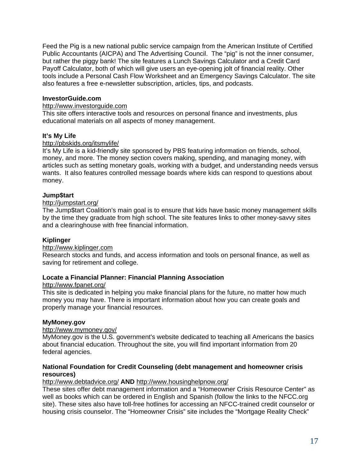Feed the Pig is a new national public service campaign from the American Institute of Certified Public Accountants (AICPA) and The Advertising Council. The "pig" is not the inner consumer, but rather the piggy bank! The site features a Lunch Savings Calculator and a Credit Card Pavoff Calculator, both of which will give users an eye-opening jolt of financial reality. Other tools include a Personal Cash Flow Worksheet and an Emergency Savings Calculator. The site also features a free e-newsletter subscription, articles, tips, and podcasts.

#### **InvestorGuide.com**

#### http://www.investorguide.com

This site offers interactive tools and resources on personal finance and investments, plus educational materials on all aspects of money management.

#### **It's My Life**

#### http://pbskids.org/itsmylife/

It's My Life is a kid-friendly site sponsored by PBS featuring information on friends, school, money, and more. The money section covers making, spending, and managing money, with articles such as setting monetary goals, working with a budget, and understanding needs versus wants. It also features controlled message boards where kids can respond to questions about money.

#### **Jump\$tart**

#### http://jumpstart.org/

The Jump\$tart Coalition's main goal is to ensure that kids have basic money management skills by the time they graduate from high school. The site features links to other money-savvy sites and a clearinghouse with free financial information.

#### **Kiplinger**

#### http://www.kiplinger.com

Research stocks and funds, and access information and tools on personal finance, as well as saving for retirement and college.

#### **Locate a Financial Planner: Financial Planning Association**

#### http://www.fpanet.org/

This site is dedicated in helping you make financial plans for the future, no matter how much money you may have. There is important information about how you can create goals and properly manage your financial resources.

#### **MyMoney.gov**

#### http://www.mymoney.gov/

MyMoney.gov is the U.S. government's website dedicated to teaching all Americans the basics about financial education. Throughout the site, you will find important information from 20 federal agencies.

#### **National Foundation for Credit Counseling (debt management and homeowner crisis resources)**

#### http://www.debtadvice.org/ **AND** http://www.housinghelpnow.org/

These sites offer debt management information and a "Homeowner Crisis Resource Center" as well as books which can be ordered in English and Spanish (follow the links to the NFCC.org site). These sites also have toll-free hotlines for accessing an NFCC-trained credit counselor or housing crisis counselor. The "Homeowner Crisis" site includes the "Mortgage Reality Check"